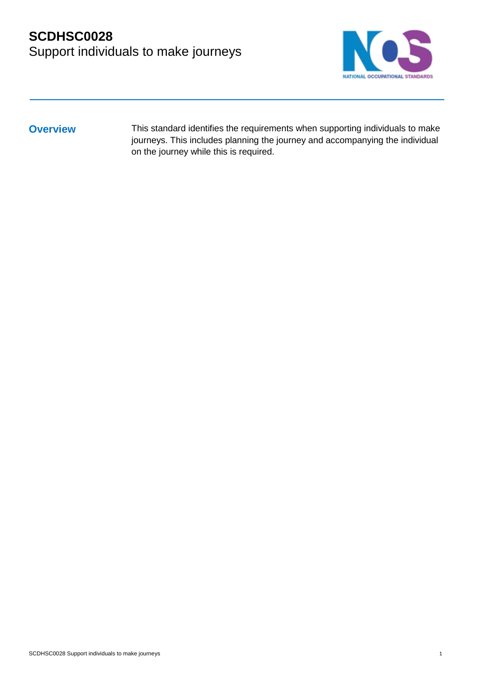

**Overview** This standard identifies the requirements when supporting individuals to make journeys. This includes planning the journey and accompanying the individual on the journey while this is required.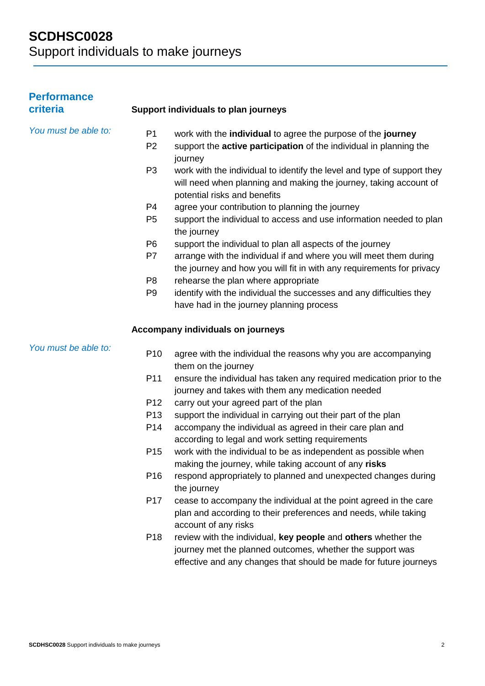| <b>Performance</b><br>criteria |                 | Support individuals to plan journeys                                                                                                                                                            |
|--------------------------------|-----------------|-------------------------------------------------------------------------------------------------------------------------------------------------------------------------------------------------|
| You must be able to:           | P <sub>1</sub>  | work with the individual to agree the purpose of the journey                                                                                                                                    |
|                                | P <sub>2</sub>  | support the active participation of the individual in planning the<br>journey                                                                                                                   |
|                                | P <sub>3</sub>  | work with the individual to identify the level and type of support they<br>will need when planning and making the journey, taking account of<br>potential risks and benefits                    |
|                                | P4              | agree your contribution to planning the journey                                                                                                                                                 |
|                                | P <sub>5</sub>  | support the individual to access and use information needed to plan<br>the journey                                                                                                              |
|                                | P <sub>6</sub>  | support the individual to plan all aspects of the journey                                                                                                                                       |
|                                | P7              | arrange with the individual if and where you will meet them during<br>the journey and how you will fit in with any requirements for privacy                                                     |
|                                | P <sub>8</sub>  | rehearse the plan where appropriate                                                                                                                                                             |
|                                | P <sub>9</sub>  | identify with the individual the successes and any difficulties they                                                                                                                            |
|                                |                 | have had in the journey planning process                                                                                                                                                        |
|                                |                 | Accompany individuals on journeys                                                                                                                                                               |
| You must be able to:           | P <sub>10</sub> | agree with the individual the reasons why you are accompanying<br>them on the journey                                                                                                           |
|                                | P <sub>11</sub> | ensure the individual has taken any required medication prior to the<br>journey and takes with them any medication needed                                                                       |
|                                | P <sub>12</sub> | carry out your agreed part of the plan                                                                                                                                                          |
|                                | P <sub>13</sub> | support the individual in carrying out their part of the plan                                                                                                                                   |
|                                | P14             | accompany the individual as agreed in their care plan and<br>according to legal and work setting requirements                                                                                   |
|                                | P <sub>15</sub> | work with the individual to be as independent as possible when<br>making the journey, while taking account of any risks                                                                         |
|                                | P <sub>16</sub> | respond appropriately to planned and unexpected changes during<br>the journey                                                                                                                   |
|                                | P <sub>17</sub> | cease to accompany the individual at the point agreed in the care<br>plan and according to their preferences and needs, while taking<br>account of any risks                                    |
|                                | P <sub>18</sub> | review with the individual, key people and others whether the<br>journey met the planned outcomes, whether the support was<br>effective and any changes that should be made for future journeys |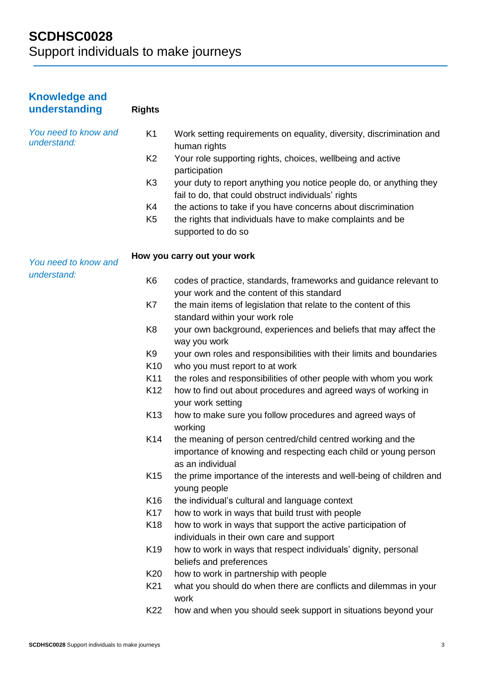| <b>Knowledge and</b><br>understanding | <b>Rights</b>   |                                                                                                                                                    |
|---------------------------------------|-----------------|----------------------------------------------------------------------------------------------------------------------------------------------------|
| You need to know and<br>understand:   | K <sub>1</sub>  | Work setting requirements on equality, diversity, discrimination and<br>human rights                                                               |
|                                       | K <sub>2</sub>  | Your role supporting rights, choices, wellbeing and active<br>participation                                                                        |
|                                       | K <sub>3</sub>  | your duty to report anything you notice people do, or anything they<br>fail to do, that could obstruct individuals' rights                         |
|                                       | K4              | the actions to take if you have concerns about discrimination                                                                                      |
|                                       | K <sub>5</sub>  | the rights that individuals have to make complaints and be<br>supported to do so                                                                   |
| You need to know and<br>understand:   |                 | How you carry out your work                                                                                                                        |
|                                       | K <sub>6</sub>  | codes of practice, standards, frameworks and guidance relevant to<br>your work and the content of this standard                                    |
|                                       | K7              | the main items of legislation that relate to the content of this                                                                                   |
|                                       |                 | standard within your work role                                                                                                                     |
|                                       | K <sub>8</sub>  | your own background, experiences and beliefs that may affect the<br>way you work                                                                   |
|                                       | K <sub>9</sub>  | your own roles and responsibilities with their limits and boundaries                                                                               |
|                                       | K <sub>10</sub> | who you must report to at work                                                                                                                     |
|                                       | K11             | the roles and responsibilities of other people with whom you work                                                                                  |
|                                       | K <sub>12</sub> | how to find out about procedures and agreed ways of working in<br>your work setting                                                                |
|                                       | K <sub>13</sub> | how to make sure you follow procedures and agreed ways of<br>working                                                                               |
|                                       | K <sub>14</sub> | the meaning of person centred/child centred working and the<br>importance of knowing and respecting each child or young person<br>as an individual |
|                                       | K <sub>15</sub> | the prime importance of the interests and well-being of children and<br>young people                                                               |
|                                       | K <sub>16</sub> | the individual's cultural and language context                                                                                                     |
|                                       | K <sub>17</sub> | how to work in ways that build trust with people                                                                                                   |
|                                       | K <sub>18</sub> | how to work in ways that support the active participation of<br>individuals in their own care and support                                          |
|                                       | K <sub>19</sub> | how to work in ways that respect individuals' dignity, personal<br>beliefs and preferences                                                         |
|                                       | K <sub>20</sub> | how to work in partnership with people                                                                                                             |
|                                       | K21             | what you should do when there are conflicts and dilemmas in your<br>work                                                                           |
|                                       | K22             | how and when you should seek support in situations beyond your                                                                                     |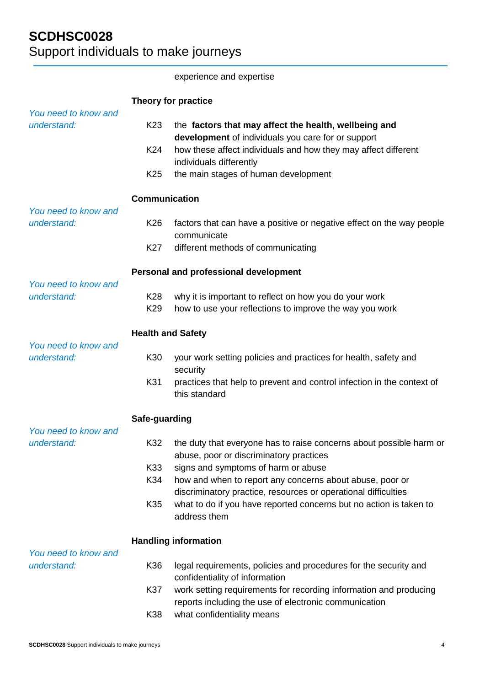|                                                             |                          | experience and expertise                                                                                                   |
|-------------------------------------------------------------|--------------------------|----------------------------------------------------------------------------------------------------------------------------|
|                                                             |                          | Theory for practice                                                                                                        |
| You need to know and<br>understand:                         | K <sub>23</sub>          | the factors that may affect the health, wellbeing and                                                                      |
|                                                             |                          | development of individuals you care for or support                                                                         |
|                                                             | K <sub>24</sub>          | how these affect individuals and how they may affect different<br>individuals differently                                  |
|                                                             | K <sub>25</sub>          | the main stages of human development                                                                                       |
|                                                             | <b>Communication</b>     |                                                                                                                            |
| You need to know and<br>understand:                         | K <sub>26</sub>          | factors that can have a positive or negative effect on the way people<br>communicate                                       |
|                                                             | K <sub>27</sub>          | different methods of communicating                                                                                         |
|                                                             |                          | Personal and professional development                                                                                      |
| You need to know and<br>understand:<br>You need to know and | K <sub>28</sub>          | why it is important to reflect on how you do your work                                                                     |
|                                                             | K <sub>29</sub>          | how to use your reflections to improve the way you work                                                                    |
|                                                             | <b>Health and Safety</b> |                                                                                                                            |
| understand:                                                 | K30                      | your work setting policies and practices for health, safety and<br>security                                                |
|                                                             | K31                      | practices that help to prevent and control infection in the context of<br>this standard                                    |
|                                                             | Safe-guarding            |                                                                                                                            |
| You need to know and<br>understand:                         | K32                      | the duty that everyone has to raise concerns about possible harm or<br>abuse, poor or discriminatory practices             |
|                                                             | K33                      | signs and symptoms of harm or abuse                                                                                        |
|                                                             | K34                      | how and when to report any concerns about abuse, poor or<br>discriminatory practice, resources or operational difficulties |
|                                                             | K <sub>35</sub>          | what to do if you have reported concerns but no action is taken to<br>address them                                         |
| You need to know and                                        |                          | <b>Handling information</b>                                                                                                |
| understand:                                                 | K36                      | legal requirements, policies and procedures for the security and<br>confidentiality of information                         |
|                                                             | K37                      | work setting requirements for recording information and producing<br>reports including the use of electronic communication |
|                                                             | K38                      | what confidentiality means                                                                                                 |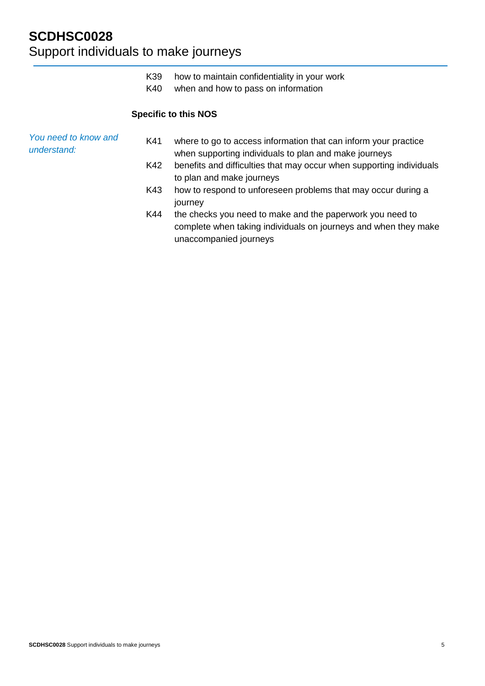K40 when and how to pass on information

### **Specific to this NOS**

*You need to know and understand:* K41 where to go to access information that can inform your practice when supporting individuals to plan and make journeys K42 benefits and difficulties that may occur when supporting individuals to plan and make journeys K43 how to respond to unforeseen problems that may occur during a journey K44 the checks you need to make and the paperwork you need to complete when taking individuals on journeys and when they make unaccompanied journeys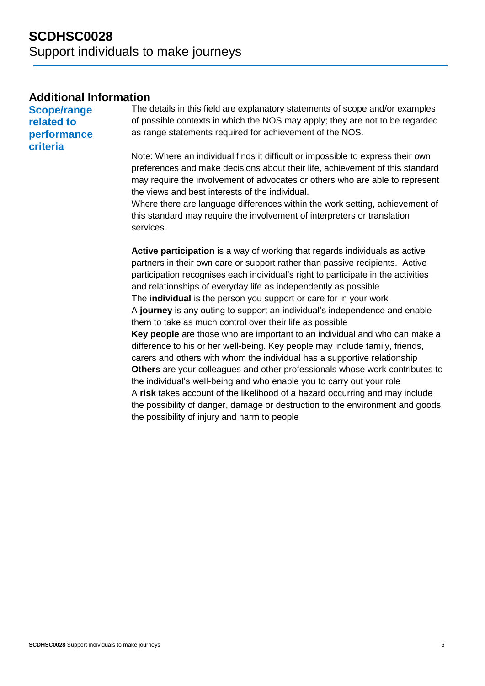## **Additional Information**

**Scope/range related to performance criteria**

The details in this field are explanatory statements of scope and/or examples of possible contexts in which the NOS may apply; they are not to be regarded as range statements required for achievement of the NOS.

Note: Where an individual finds it difficult or impossible to express their own preferences and make decisions about their life, achievement of this standard may require the involvement of advocates or others who are able to represent the views and best interests of the individual.

Where there are language differences within the work setting, achievement of this standard may require the involvement of interpreters or translation services.

**Active participation** is a way of working that regards individuals as active partners in their own care or support rather than passive recipients. Active participation recognises each individual's right to participate in the activities and relationships of everyday life as independently as possible The **individual** is the person you support or care for in your work A **journey** is any outing to support an individual's independence and enable them to take as much control over their life as possible **Key people** are those who are important to an individual and who can make a difference to his or her well-being. Key people may include family, friends, carers and others with whom the individual has a supportive relationship **Others** are your colleagues and other professionals whose work contributes to the individual's well-being and who enable you to carry out your role A **risk** takes account of the likelihood of a hazard occurring and may include the possibility of danger, damage or destruction to the environment and goods; the possibility of injury and harm to people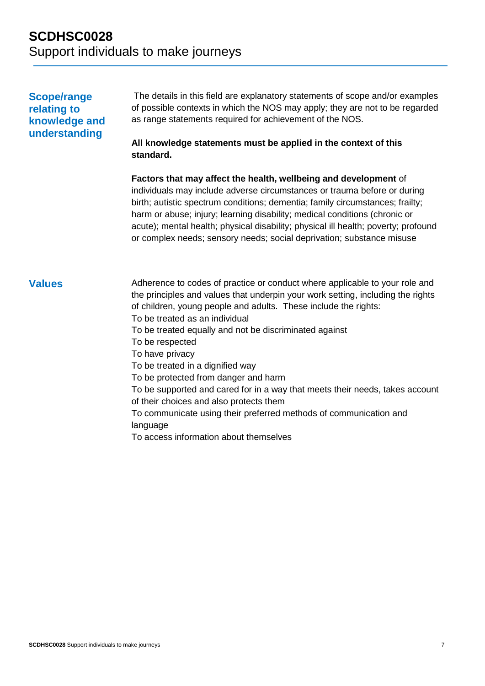## **Scope/range relating to knowledge and understanding**

The details in this field are explanatory statements of scope and/or examples of possible contexts in which the NOS may apply; they are not to be regarded as range statements required for achievement of the NOS.

### **All knowledge statements must be applied in the context of this standard.**

**Factors that may affect the health, wellbeing and development** of individuals may include adverse circumstances or trauma before or during birth; autistic spectrum conditions; dementia; family circumstances; frailty; harm or abuse; injury; learning disability; medical conditions (chronic or acute); mental health; physical disability; physical ill health; poverty; profound or complex needs; sensory needs; social deprivation; substance misuse

**Values** Adherence to codes of practice or conduct where applicable to your role and the principles and values that underpin your work setting, including the rights of children, young people and adults. These include the rights: To be treated as an individual To be treated equally and not be discriminated against To be respected To have privacy To be treated in a dignified way To be protected from danger and harm To be supported and cared for in a way that meets their needs, takes account of their choices and also protects them To communicate using their preferred methods of communication and language To access information about themselves